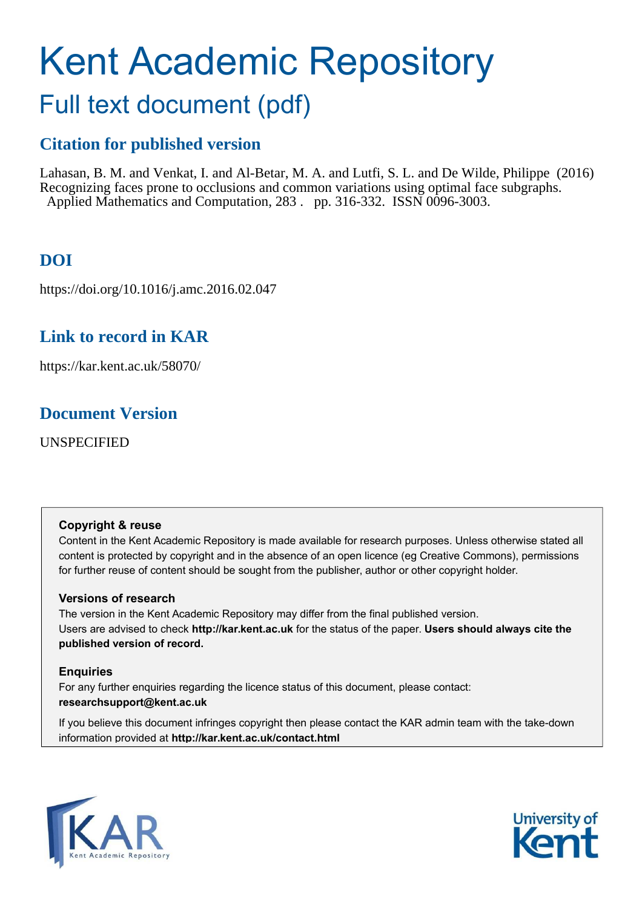# Kent Academic Repository

## Full text document (pdf)

## **Citation for published version**

Lahasan, B. M. and Venkat, I. and Al-Betar, M. A. and Lutfi, S. L. and De Wilde, Philippe (2016) Recognizing faces prone to occlusions and common variations using optimal face subgraphs. Applied Mathematics and Computation, 283 . pp. 316-332. ISSN 0096-3003.

## **DOI**

https://doi.org/10.1016/j.amc.2016.02.047

## **Link to record in KAR**

https://kar.kent.ac.uk/58070/

## **Document Version**

UNSPECIFIED

#### **Copyright & reuse**

Content in the Kent Academic Repository is made available for research purposes. Unless otherwise stated all content is protected by copyright and in the absence of an open licence (eg Creative Commons), permissions for further reuse of content should be sought from the publisher, author or other copyright holder.

#### **Versions of research**

The version in the Kent Academic Repository may differ from the final published version. Users are advised to check **http://kar.kent.ac.uk** for the status of the paper. **Users should always cite the published version of record.**

#### **Enquiries**

For any further enquiries regarding the licence status of this document, please contact: **researchsupport@kent.ac.uk**

If you believe this document infringes copyright then please contact the KAR admin team with the take-down information provided at **http://kar.kent.ac.uk/contact.html**



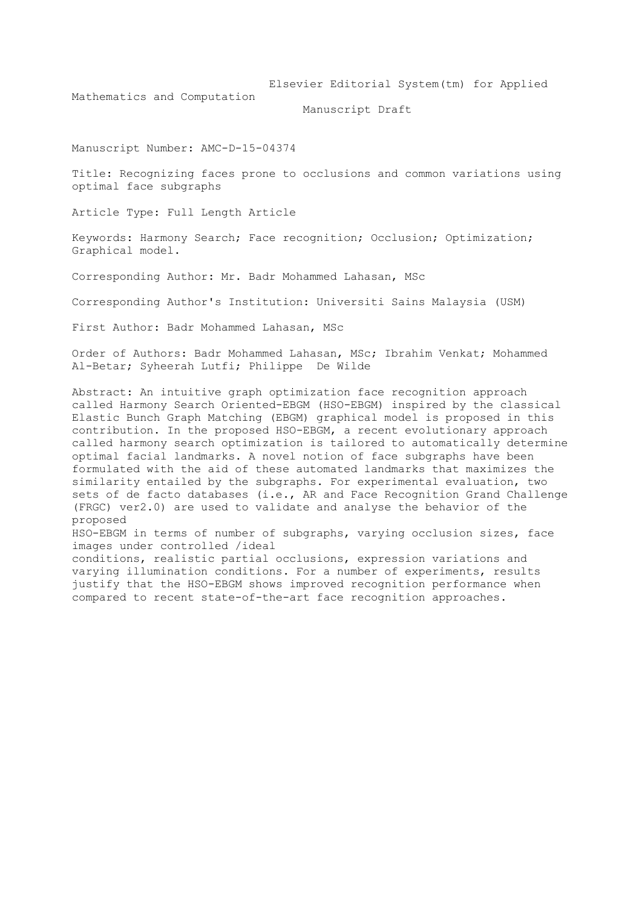Elsevier Editorial System(tm) for Applied

Mathematics and Computation

Manuscript Draft

Manuscript Number: AMC-D-15-04374

Title: Recognizing faces prone to occlusions and common variations using optimal face subgraphs

Article Type: Full Length Article

Keywords: Harmony Search; Face recognition; Occlusion; Optimization; Graphical model.

Corresponding Author: Mr. Badr Mohammed Lahasan, MSc

Corresponding Author's Institution: Universiti Sains Malaysia (USM)

First Author: Badr Mohammed Lahasan, MSc

Order of Authors: Badr Mohammed Lahasan, MSc; Ibrahim Venkat; Mohammed Al-Betar; Syheerah Lutfi; Philippe De Wilde

Abstract: An intuitive graph optimization face recognition approach called Harmony Search Oriented-EBGM (HSO-EBGM) inspired by the classical Elastic Bunch Graph Matching (EBGM) graphical model is proposed in this contribution. In the proposed HSO-EBGM, a recent evolutionary approach called harmony search optimization is tailored to automatically determine optimal facial landmarks. A novel notion of face subgraphs have been formulated with the aid of these automated landmarks that maximizes the similarity entailed by the subgraphs. For experimental evaluation, two sets of de facto databases (i.e., AR and Face Recognition Grand Challenge (FRGC) ver2.0) are used to validate and analyse the behavior of the proposed HSO-EBGM in terms of number of subgraphs, varying occlusion sizes, face images under controlled /ideal

conditions, realistic partial occlusions, expression variations and varying illumination conditions. For a number of experiments, results justify that the HSO-EBGM shows improved recognition performance when compared to recent state-of-the-art face recognition approaches.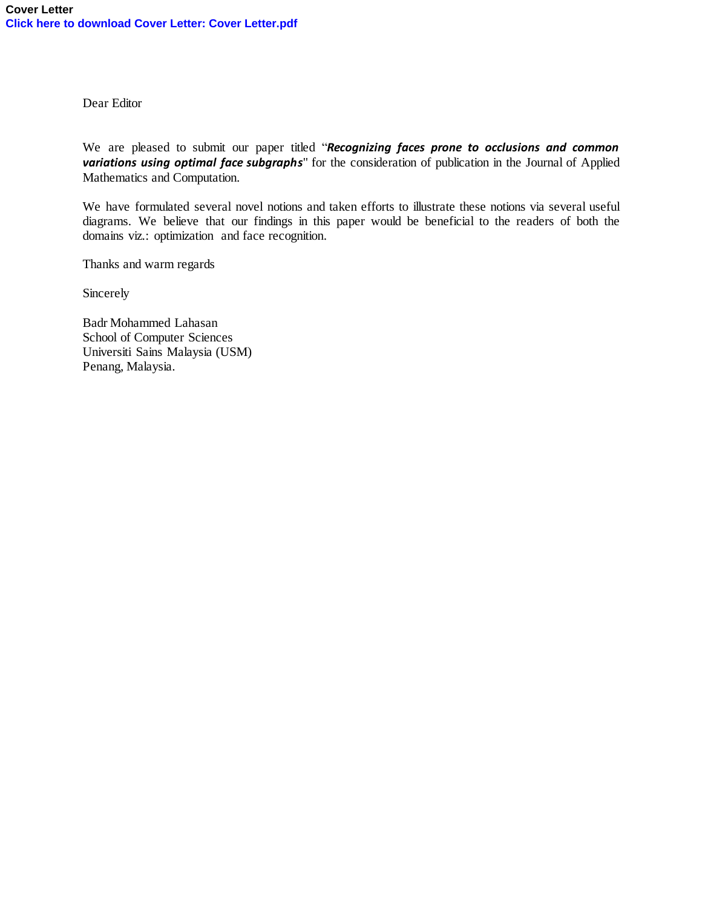Dear Editor

We are pleased to submit our paper titled "*Recognizing faces prone to occlusions and common variations using optimal face subgraphs*" for the consideration of publication in the Journal of Applied Mathematics and Computation.

We have formulated several novel notions and taken efforts to illustrate these notions via several useful diagrams. We believe that our findings in this paper would be beneficial to the readers of both the domains viz.: optimization and face recognition.

Thanks and warm regards

Sincerely

Badr Mohammed Lahasan School of Computer Sciences Universiti Sains Malaysia (USM) Penang, Malaysia.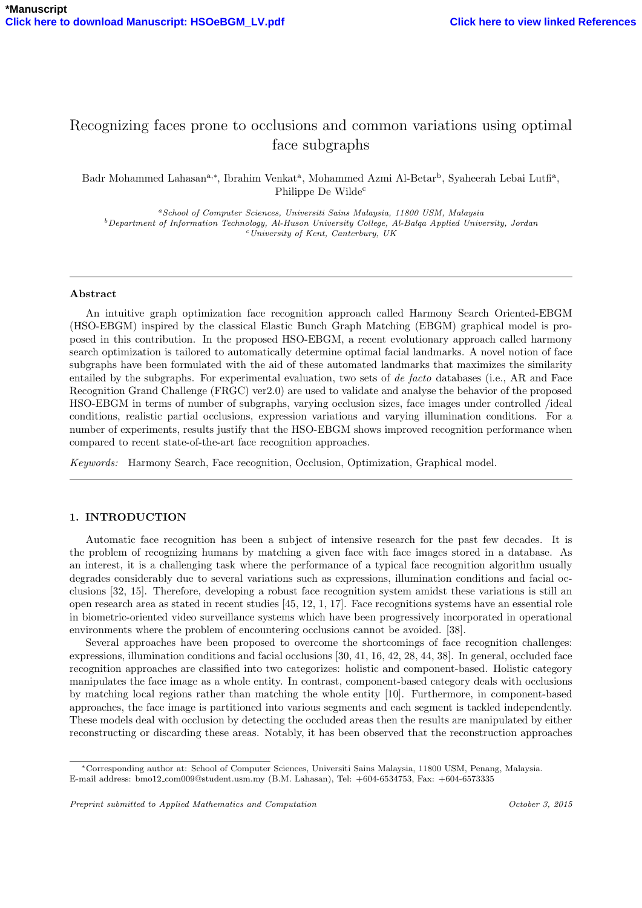### Recognizing faces prone to occlusions and common variations using optimal face subgraphs

Badr Mohammed Lahasan<sup>a,∗</sup>, Ibrahim Venkat<sup>a</sup>, Mohammed Azmi Al-Betar<sup>b</sup>, Syaheerah Lebai Lutfi<sup>a</sup>, Philippe De Wilde<sup>c</sup>

<sup>a</sup>*School of Computer Sciences, Universiti Sains Malaysia, 11800 USM, Malaysia* <sup>b</sup>*Department of Information Technology, Al-Huson University College, Al-Balqa Applied University, Jordan* <sup>c</sup>*University of Kent, Canterbury, UK*

#### Abstract

An intuitive graph optimization face recognition approach called Harmony Search Oriented-EBGM (HSO-EBGM) inspired by the classical Elastic Bunch Graph Matching (EBGM) graphical model is proposed in this contribution. In the proposed HSO-EBGM, a recent evolutionary approach called harmony search optimization is tailored to automatically determine optimal facial landmarks. A novel notion of face subgraphs have been formulated with the aid of these automated landmarks that maximizes the similarity entailed by the subgraphs. For experimental evaluation, two sets of de facto databases (i.e., AR and Face Recognition Grand Challenge (FRGC) ver2.0) are used to validate and analyse the behavior of the proposed HSO-EBGM in terms of number of subgraphs, varying occlusion sizes, face images under controlled /ideal conditions, realistic partial occlusions, expression variations and varying illumination conditions. For a number of experiments, results justify that the HSO-EBGM shows improved recognition performance when compared to recent state-of-the-art face recognition approaches.

Keywords: Harmony Search, Face recognition, Occlusion, Optimization, Graphical model.

#### 1. INTRODUCTION

Automatic face recognition has been a subject of intensive research for the past few decades. It is the problem of recognizing humans by matching a given face with face images stored in a database. As an interest, it is a challenging task where the performance of a typical face recognition algorithm usually degrades considerably due to several variations such as expressions, illumination conditions and facial occlusions [32, 15]. Therefore, developing a robust face recognition system amidst these variations is still an open research area as stated in recent studies [45, 12, 1, 17]. Face recognitions systems have an essential role in biometric-oriented video surveillance systems which have been progressively incorporated in operational environments where the problem of encountering occlusions cannot be avoided. [38].

Several approaches have been proposed to overcome the shortcomings of face recognition challenges: expressions, illumination conditions and facial occlusions [30, 41, 16, 42, 28, 44, 38]. In general, occluded face recognition approaches are classified into two categorizes: holistic and component-based. Holistic category manipulates the face image as a whole entity. In contrast, component-based category deals with occlusions by matching local regions rather than matching the whole entity [10]. Furthermore, in component-based approaches, the face image is partitioned into various segments and each segment is tackled independently. These models deal with occlusion by detecting the occluded areas then the results are manipulated by either reconstructing or discarding these areas. Notably, it has been observed that the reconstruction approaches

<sup>∗</sup>Corresponding author at: School of Computer Sciences, Universiti Sains Malaysia, 11800 USM, Penang, Malaysia. E-mail address: bmo12 com009@student.usm.my (B.M. Lahasan), Tel: +604-6534753, Fax: +604-6573335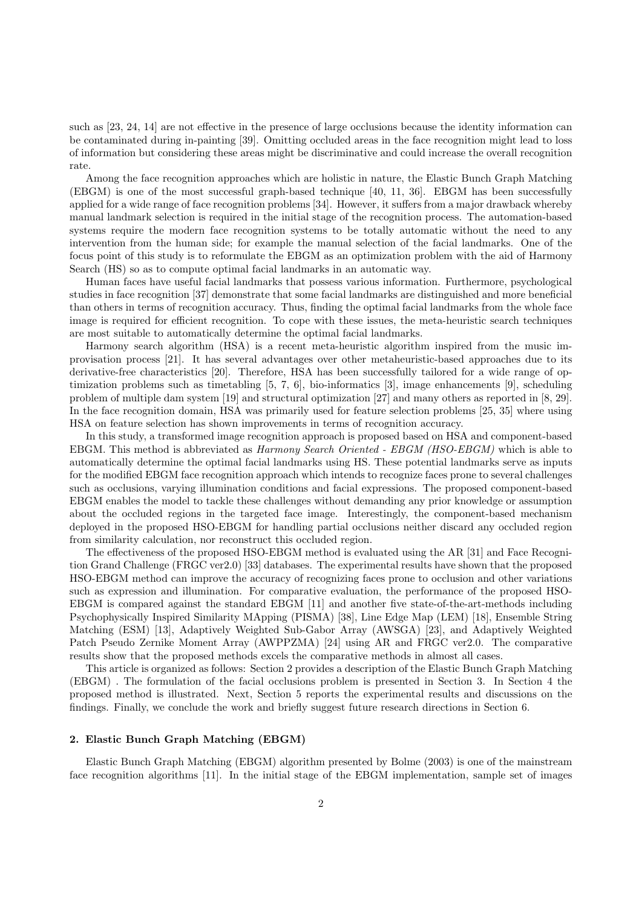such as [23, 24, 14] are not effective in the presence of large occlusions because the identity information can be contaminated during in-painting [39]. Omitting occluded areas in the face recognition might lead to loss of information but considering these areas might be discriminative and could increase the overall recognition rate.

Among the face recognition approaches which are holistic in nature, the Elastic Bunch Graph Matching (EBGM) is one of the most successful graph-based technique [40, 11, 36]. EBGM has been successfully applied for a wide range of face recognition problems [34]. However, it suffers from a major drawback whereby manual landmark selection is required in the initial stage of the recognition process. The automation-based systems require the modern face recognition systems to be totally automatic without the need to any intervention from the human side; for example the manual selection of the facial landmarks. One of the focus point of this study is to reformulate the EBGM as an optimization problem with the aid of Harmony Search (HS) so as to compute optimal facial landmarks in an automatic way.

Human faces have useful facial landmarks that possess various information. Furthermore, psychological studies in face recognition [37] demonstrate that some facial landmarks are distinguished and more beneficial than others in terms of recognition accuracy. Thus, finding the optimal facial landmarks from the whole face image is required for efficient recognition. To cope with these issues, the meta-heuristic search techniques are most suitable to automatically determine the optimal facial landmarks.

Harmony search algorithm (HSA) is a recent meta-heuristic algorithm inspired from the music improvisation process [21]. It has several advantages over other metaheuristic-based approaches due to its derivative-free characteristics [20]. Therefore, HSA has been successfully tailored for a wide range of optimization problems such as timetabling [5, 7, 6], bio-informatics [3], image enhancements [9], scheduling problem of multiple dam system [19] and structural optimization [27] and many others as reported in [8, 29]. In the face recognition domain, HSA was primarily used for feature selection problems [25, 35] where using HSA on feature selection has shown improvements in terms of recognition accuracy.

In this study, a transformed image recognition approach is proposed based on HSA and component-based EBGM. This method is abbreviated as Harmony Search Oriented - EBGM (HSO-EBGM) which is able to automatically determine the optimal facial landmarks using HS. These potential landmarks serve as inputs for the modified EBGM face recognition approach which intends to recognize faces prone to several challenges such as occlusions, varying illumination conditions and facial expressions. The proposed component-based EBGM enables the model to tackle these challenges without demanding any prior knowledge or assumption about the occluded regions in the targeted face image. Interestingly, the component-based mechanism deployed in the proposed HSO-EBGM for handling partial occlusions neither discard any occluded region from similarity calculation, nor reconstruct this occluded region.

The effectiveness of the proposed HSO-EBGM method is evaluated using the AR [31] and Face Recognition Grand Challenge (FRGC ver2.0) [33] databases. The experimental results have shown that the proposed HSO-EBGM method can improve the accuracy of recognizing faces prone to occlusion and other variations such as expression and illumination. For comparative evaluation, the performance of the proposed HSO-EBGM is compared against the standard EBGM [11] and another five state-of-the-art-methods including Psychophysically Inspired Similarity MApping (PISMA) [38], Line Edge Map (LEM) [18], Ensemble String Matching (ESM) [13], Adaptively Weighted Sub-Gabor Array (AWSGA) [23], and Adaptively Weighted Patch Pseudo Zernike Moment Array (AWPPZMA) [24] using AR and FRGC ver2.0. The comparative results show that the proposed methods excels the comparative methods in almost all cases.

This article is organized as follows: Section 2 provides a description of the Elastic Bunch Graph Matching (EBGM) . The formulation of the facial occlusions problem is presented in Section 3. In Section 4 the proposed method is illustrated. Next, Section 5 reports the experimental results and discussions on the findings. Finally, we conclude the work and briefly suggest future research directions in Section 6.

#### 2. Elastic Bunch Graph Matching (EBGM)

Elastic Bunch Graph Matching (EBGM) algorithm presented by Bolme (2003) is one of the mainstream face recognition algorithms [11]. In the initial stage of the EBGM implementation, sample set of images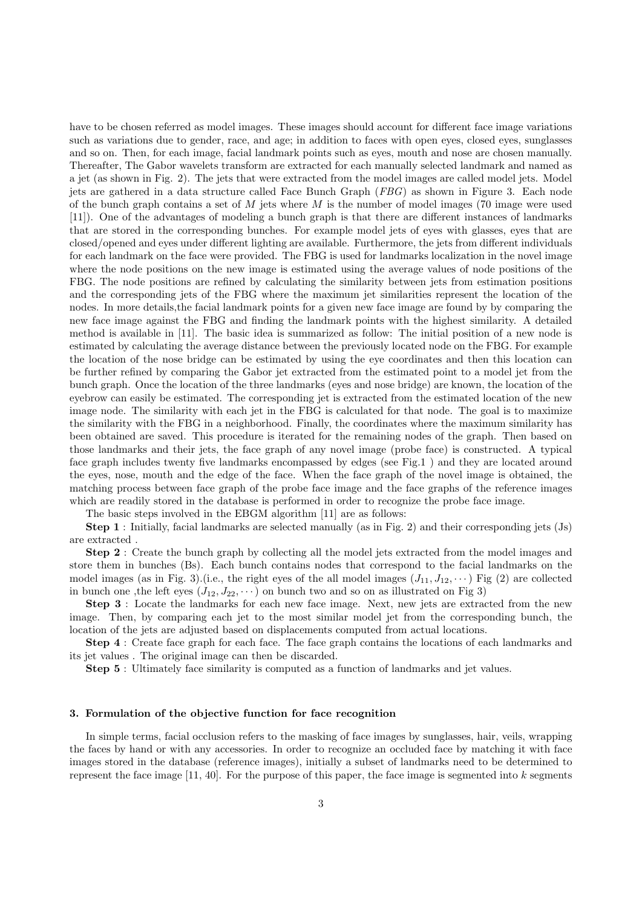have to be chosen referred as model images. These images should account for different face image variations such as variations due to gender, race, and age; in addition to faces with open eyes, closed eyes, sunglasses and so on. Then, for each image, facial landmark points such as eyes, mouth and nose are chosen manually. Thereafter, The Gabor wavelets transform are extracted for each manually selected landmark and named as a jet (as shown in Fig. 2). The jets that were extracted from the model images are called model jets. Model jets are gathered in a data structure called Face Bunch Graph (FBG) as shown in Figure 3. Each node of the bunch graph contains a set of  $M$  jets where  $M$  is the number of model images (70 image were used [11]). One of the advantages of modeling a bunch graph is that there are different instances of landmarks that are stored in the corresponding bunches. For example model jets of eyes with glasses, eyes that are closed/opened and eyes under different lighting are available. Furthermore, the jets from different individuals for each landmark on the face were provided. The FBG is used for landmarks localization in the novel image where the node positions on the new image is estimated using the average values of node positions of the FBG. The node positions are refined by calculating the similarity between jets from estimation positions and the corresponding jets of the FBG where the maximum jet similarities represent the location of the nodes. In more details,the facial landmark points for a given new face image are found by by comparing the new face image against the FBG and finding the landmark points with the highest similarity. A detailed method is available in [11]. The basic idea is summarized as follow: The initial position of a new node is estimated by calculating the average distance between the previously located node on the FBG. For example the location of the nose bridge can be estimated by using the eye coordinates and then this location can be further refined by comparing the Gabor jet extracted from the estimated point to a model jet from the bunch graph. Once the location of the three landmarks (eyes and nose bridge) are known, the location of the eyebrow can easily be estimated. The corresponding jet is extracted from the estimated location of the new image node. The similarity with each jet in the FBG is calculated for that node. The goal is to maximize the similarity with the FBG in a neighborhood. Finally, the coordinates where the maximum similarity has been obtained are saved. This procedure is iterated for the remaining nodes of the graph. Then based on those landmarks and their jets, the face graph of any novel image (probe face) is constructed. A typical face graph includes twenty five landmarks encompassed by edges (see Fig.1 ) and they are located around the eyes, nose, mouth and the edge of the face. When the face graph of the novel image is obtained, the matching process between face graph of the probe face image and the face graphs of the reference images which are readily stored in the database is performed in order to recognize the probe face image.

The basic steps involved in the EBGM algorithm [11] are as follows:

Step 1 : Initially, facial landmarks are selected manually (as in Fig. 2) and their corresponding jets (Js) are extracted .

Step 2 : Create the bunch graph by collecting all the model jets extracted from the model images and store them in bunches (Bs). Each bunch contains nodes that correspond to the facial landmarks on the model images (as in Fig. 3).(i.e., the right eyes of the all model images  $(J_{11}, J_{12}, \cdots)$  Fig (2) are collected in bunch one, the left eyes  $(J_{12}, J_{22}, \cdots)$  on bunch two and so on as illustrated on Fig 3)

Step 3 : Locate the landmarks for each new face image. Next, new jets are extracted from the new image. Then, by comparing each jet to the most similar model jet from the corresponding bunch, the location of the jets are adjusted based on displacements computed from actual locations.

Step 4 : Create face graph for each face. The face graph contains the locations of each landmarks and its jet values . The original image can then be discarded.

Step 5 : Ultimately face similarity is computed as a function of landmarks and jet values.

#### 3. Formulation of the objective function for face recognition

In simple terms, facial occlusion refers to the masking of face images by sunglasses, hair, veils, wrapping the faces by hand or with any accessories. In order to recognize an occluded face by matching it with face images stored in the database (reference images), initially a subset of landmarks need to be determined to represent the face image  $[11, 40]$ . For the purpose of this paper, the face image is segmented into k segments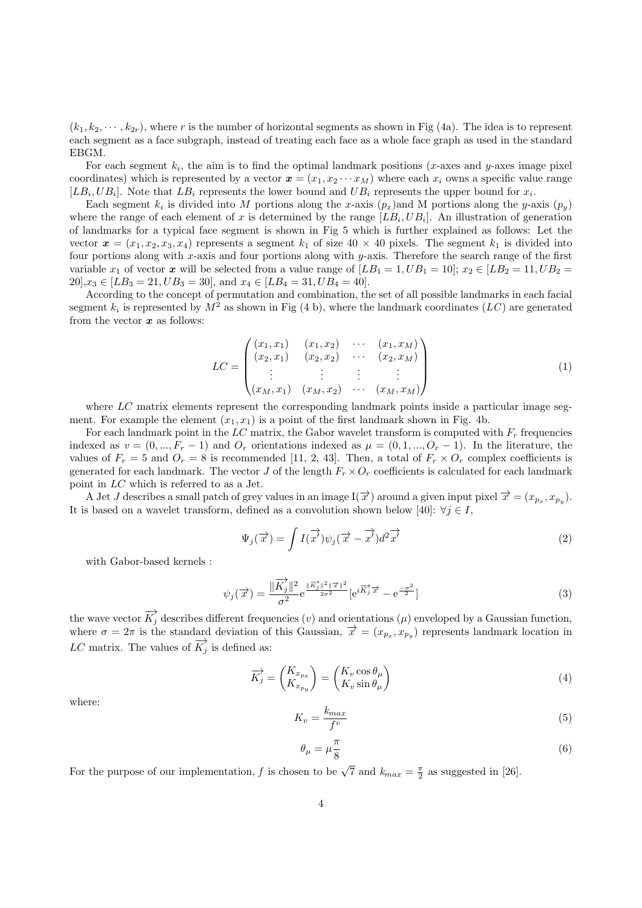$(k_1, k_2, \dots, k_{2r})$ , where r is the number of horizontal segments as shown in Fig (4a). The idea is to represent each segment as a face subgraph, instead of treating each face as a whole face graph as used in the standard EBGM.

For each segment  $k_i$ , the aim is to find the optimal landmark positions (x-axes and y-axes image pixel coordinates) which is represented by a vector  $x = (x_1, x_2 \cdots x_M)$  where each  $x_i$  owns a specific value range [ $LB_i, UB_i$ ]. Note that  $LB_i$  represents the lower bound and  $UB_i$  represents the upper bound for  $x_i$ .

Each segment  $k_i$  is divided into M portions along the x-axis  $(p_x)$  and M portions along the y-axis  $(p_y)$ where the range of each element of x is determined by the range  $[LB_i, UB_i]$ . An illustration of generation of landmarks for a typical face segment is shown in Fig 5 which is further explained as follows: Let the vector  $x = (x_1, x_2, x_3, x_4)$  represents a segment  $k_1$  of size  $40 \times 40$  pixels. The segment  $k_1$  is divided into four portions along with x-axis and four portions along with y-axis. Therefore the search range of the first variable  $x_1$  of vector x will be selected from a value range of  $[LB_1 = 1, UB_1 = 10]$ ;  $x_2 \in [LB_2 = 11, UB_2 = 11]$  $20$ ,  $x_3 \in [LB_3 = 21, UB_3 = 30]$ , and  $x_4 \in [LB_4 = 31, UB_4 = 40]$ .

According to the concept of permutation and combination, the set of all possible landmarks in each facial segment  $k_i$  is represented by  $M^2$  as shown in Fig (4 b), where the landmark coordinates  $(LC)$  are generated from the vector  $x$  as follows:

$$
LC = \begin{pmatrix} (x_1, x_1) & (x_1, x_2) & \cdots & (x_1, x_M) \\ (x_2, x_1) & (x_2, x_2) & \cdots & (x_2, x_M) \\ \vdots & \vdots & \vdots & \vdots \\ (x_M, x_1) & (x_M, x_2) & \cdots & (x_M, x_M) \end{pmatrix}
$$
 (1)

where  $LC$  matrix elements represent the corresponding landmark points inside a particular image segment. For example the element  $(x_1, x_1)$  is a point of the first landmark shown in Fig. 4b.

For each landmark point in the LC matrix, the Gabor wavelet transform is computed with  $F_r$  frequencies indexed as  $v = (0, ..., F<sub>r</sub> - 1)$  and  $O<sub>r</sub>$  orientations indexed as  $\mu = (0, 1, ..., O<sub>r</sub> - 1)$ . In the literature, the values of  $F_r = 5$  and  $O_r = 8$  is recommended [11, 2, 43]. Then, a total of  $F_r \times O_r$  complex coefficients is generated for each landmark. The vector J of the length  $F_r \times O_r$  coefficients is calculated for each landmark point in LC which is referred to as a Jet.

A Jet J describes a small patch of grey values in an image  $I(\vec{x})$  around a given input pixel  $\vec{x} = (x_{p_x}, x_{p_y})$ . It is based on a wavelet transform, defined as a convolution shown below [40]:  $\forall j \in I$ ,

$$
\Psi_j(\overrightarrow{x}) = \int I(\overrightarrow{x}) \psi_j(\overrightarrow{x} - \overrightarrow{x}) d^2 \overrightarrow{x}
$$
 (2)

with Gabor-based kernels :

$$
\psi_j(\overrightarrow{x}) = \frac{\|\overrightarrow{K}_j\|^2}{\sigma^2} e^{\frac{\|\overrightarrow{K}_j\|^2 \|\overrightarrow{x}\|^2}{2\sigma^2}} [e^{i\overrightarrow{K}_j\overrightarrow{x}} - e^{\frac{-\sigma^2}{2}}] \tag{3}
$$

the wave vector  $\overrightarrow{K}_i$  describes different frequencies (v) and orientations ( $\mu$ ) enveloped by a Gaussian function, where  $\sigma = 2\pi$  is the standard deviation of this Gaussian,  $\vec{x} = (x_{p_x}, x_{p_y})$  represents landmark location in LC matrix. The values of  $\overrightarrow{K}_j$  is defined as:

$$
\overrightarrow{K}_j = \begin{pmatrix} K_{x_{p_x}} \\ K_{x_{p_y}} \end{pmatrix} = \begin{pmatrix} K_v \cos \theta_\mu \\ K_v \sin \theta_\mu \end{pmatrix}
$$
\n(4)

where:

$$
K_v = \frac{k_{max}}{f^v} \tag{5}
$$

$$
\theta_{\mu} = \mu \frac{\pi}{8} \tag{6}
$$

For the purpose of our implementation, f is chosen to be  $\sqrt{7}$  and  $k_{max} = \frac{\pi}{2}$  as suggested in [26].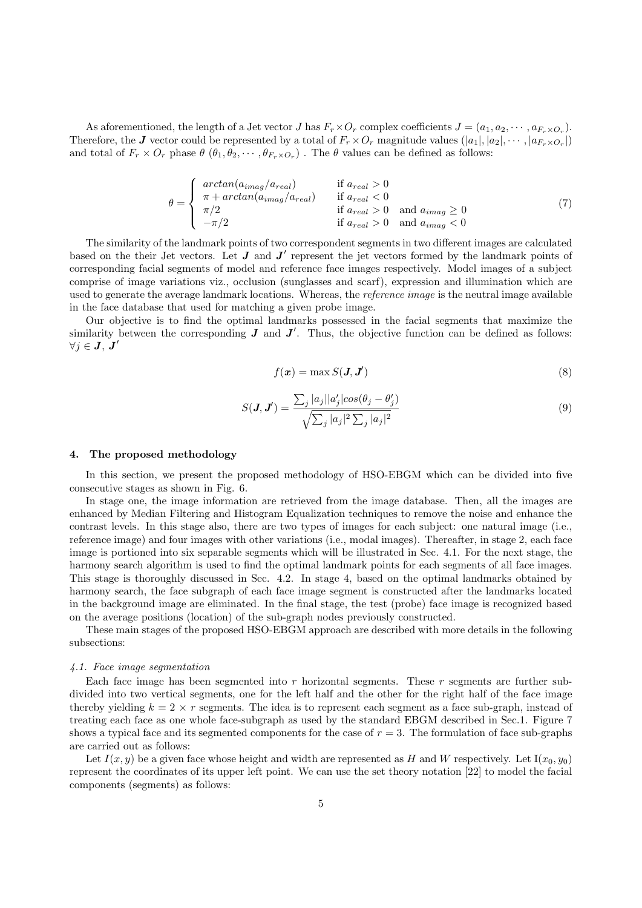As aforementioned, the length of a Jet vector J has  $F_r \times O_r$  complex coefficients  $J = (a_1, a_2, \dots, a_{F_r \times O_r})$ . Therefore, the **J** vector could be represented by a total of  $F_r \times O_r$  magnitude values  $(|a_1|, |a_2|, \cdots, |a_{F_r \times O_r}|)$ and total of  $F_r \times O_r$  phase  $\theta$   $(\theta_1, \theta_2, \dots, \theta_{F_r \times O_r})$ . The  $\theta$  values can be defined as follows:

$$
\theta = \begin{cases}\n\arctan(a_{imag}/a_{real}) & \text{if } a_{real} > 0 \\
\pi + \arctan(a_{imag}/a_{real}) & \text{if } a_{real} < 0 \\
\pi/2 & \text{if } a_{real} > 0 \text{ and } a_{imag} \ge 0 \\
-\pi/2 & \text{if } a_{real} > 0 \text{ and } a_{imag} < 0\n\end{cases}
$$
\n(7)

The similarity of the landmark points of two correspondent segments in two different images are calculated based on the their Jet vectors. Let  $J$  and  $J'$  represent the jet vectors formed by the landmark points of corresponding facial segments of model and reference face images respectively. Model images of a subject comprise of image variations viz., occlusion (sunglasses and scarf), expression and illumination which are used to generate the average landmark locations. Whereas, the *reference image* is the neutral image available in the face database that used for matching a given probe image.

Our objective is to find the optimal landmarks possessed in the facial segments that maximize the similarity between the corresponding  $J$  and  $J'$ . Thus, the objective function can be defined as follows:  $\forall j \in \boldsymbol{J}, \ \boldsymbol{J}'$ 

$$
f(\boldsymbol{x}) = \max S(\boldsymbol{J}, \boldsymbol{J}')
$$
\n(8)

$$
S(\mathbf{J}, \mathbf{J}') = \frac{\sum_{j} |a_j| |a'_j| \cos(\theta_j - \theta'_j)}{\sqrt{\sum_{j} |a_j|^2 \sum_{j} |a_j|^2}} \tag{9}
$$

#### 4. The proposed methodology

In this section, we present the proposed methodology of HSO-EBGM which can be divided into five consecutive stages as shown in Fig. 6.

In stage one, the image information are retrieved from the image database. Then, all the images are enhanced by Median Filtering and Histogram Equalization techniques to remove the noise and enhance the contrast levels. In this stage also, there are two types of images for each subject: one natural image (i.e., reference image) and four images with other variations (i.e., modal images). Thereafter, in stage 2, each face image is portioned into six separable segments which will be illustrated in Sec. 4.1. For the next stage, the harmony search algorithm is used to find the optimal landmark points for each segments of all face images. This stage is thoroughly discussed in Sec. 4.2. In stage 4, based on the optimal landmarks obtained by harmony search, the face subgraph of each face image segment is constructed after the landmarks located in the background image are eliminated. In the final stage, the test (probe) face image is recognized based on the average positions (location) of the sub-graph nodes previously constructed.

These main stages of the proposed HSO-EBGM approach are described with more details in the following subsections:

#### 4.1. Face image segmentation

Each face image has been segmented into r horizontal segments. These r segments are further subdivided into two vertical segments, one for the left half and the other for the right half of the face image thereby yielding  $k = 2 \times r$  segments. The idea is to represent each segment as a face sub-graph, instead of treating each face as one whole face-subgraph as used by the standard EBGM described in Sec.1. Figure 7 shows a typical face and its segmented components for the case of  $r = 3$ . The formulation of face sub-graphs are carried out as follows:

Let  $I(x, y)$  be a given face whose height and width are represented as H and W respectively. Let  $I(x_0, y_0)$ represent the coordinates of its upper left point. We can use the set theory notation [22] to model the facial components (segments) as follows: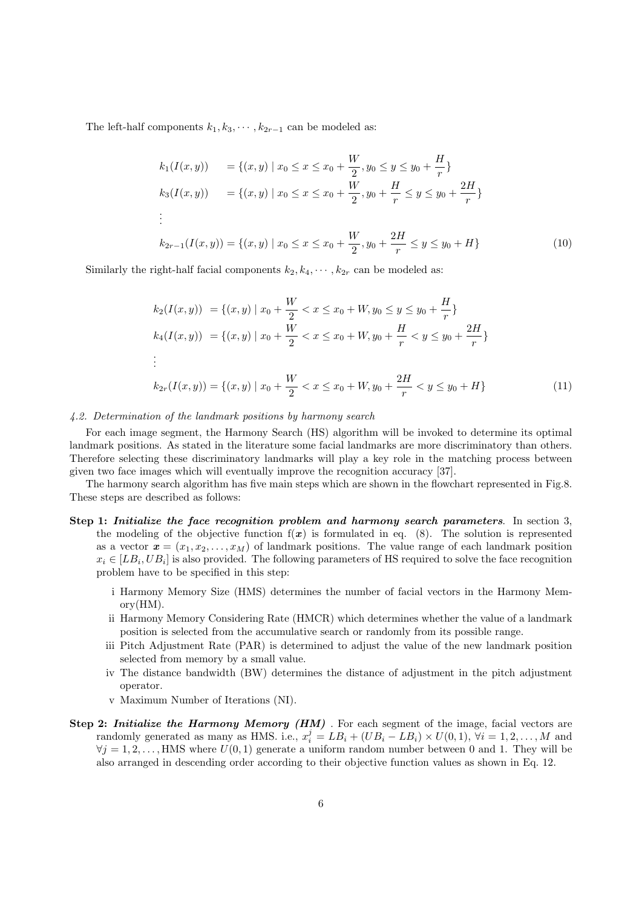The left-half components  $k_1, k_3, \cdots, k_{2r-1}$  can be modeled as:

$$
k_1(I(x, y)) = \{(x, y) \mid x_0 \le x \le x_0 + \frac{W}{2}, y_0 \le y \le y_0 + \frac{H}{r}\}
$$
  
\n
$$
k_3(I(x, y)) = \{(x, y) \mid x_0 \le x \le x_0 + \frac{W}{2}, y_0 + \frac{H}{r} \le y \le y_0 + \frac{2H}{r}\}
$$
  
\n
$$
\vdots
$$
  
\n
$$
k_{2r-1}(I(x, y)) = \{(x, y) \mid x_0 \le x \le x_0 + \frac{W}{2}, y_0 + \frac{2H}{r} \le y \le y_0 + H\}
$$
 (10)

Similarly the right-half facial components  $k_2, k_4, \cdots, k_{2r}$  can be modeled as:

$$
k_2(I(x, y)) = \{(x, y) \mid x_0 + \frac{W}{2} < x \le x_0 + W, y_0 \le y \le y_0 + \frac{H}{r}\}
$$
\n
$$
k_4(I(x, y)) = \{(x, y) \mid x_0 + \frac{W}{2} < x \le x_0 + W, y_0 + \frac{H}{r} < y \le y_0 + \frac{2H}{r}\}
$$
\n
$$
\vdots
$$
\n
$$
k_{2r}(I(x, y)) = \{(x, y) \mid x_0 + \frac{W}{2} < x \le x_0 + W, y_0 + \frac{2H}{r} < y \le y_0 + H\}
$$
\n
$$
(11)
$$

#### 4.2. Determination of the landmark positions by harmony search

For each image segment, the Harmony Search (HS) algorithm will be invoked to determine its optimal landmark positions. As stated in the literature some facial landmarks are more discriminatory than others. Therefore selecting these discriminatory landmarks will play a key role in the matching process between given two face images which will eventually improve the recognition accuracy [37].

The harmony search algorithm has five main steps which are shown in the flowchart represented in Fig.8. These steps are described as follows:

- Step 1: Initialize the face recognition problem and harmony search parameters. In section 3, the modeling of the objective function  $f(x)$  is formulated in eq. (8). The solution is represented as a vector  $x = (x_1, x_2, \ldots, x_M)$  of landmark positions. The value range of each landmark position  $x_i \in [LB_i, UB_i]$  is also provided. The following parameters of HS required to solve the face recognition problem have to be specified in this step:
	- i Harmony Memory Size (HMS) determines the number of facial vectors in the Harmony Memory(HM).
	- ii Harmony Memory Considering Rate (HMCR) which determines whether the value of a landmark position is selected from the accumulative search or randomly from its possible range.
	- iii Pitch Adjustment Rate (PAR) is determined to adjust the value of the new landmark position selected from memory by a small value.
	- iv The distance bandwidth (BW) determines the distance of adjustment in the pitch adjustment operator.
	- v Maximum Number of Iterations (NI).
- Step 2: Initialize the Harmony Memory (HM). For each segment of the image, facial vectors are randomly generated as many as HMS. i.e.,  $x_i^j = LB_i + (UB_i - LB_i) \times U(0, 1)$ ,  $\forall i = 1, 2, ..., M$  and  $\forall j = 1, 2, \ldots, \text{HMS}$  where  $U(0, 1)$  generate a uniform random number between 0 and 1. They will be also arranged in descending order according to their objective function values as shown in Eq. 12.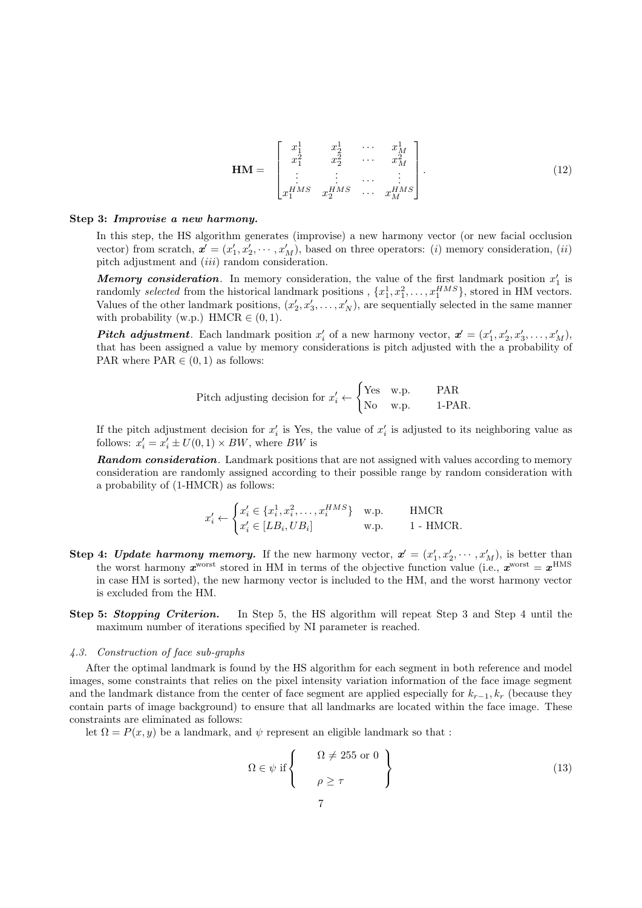$$
\mathbf{HM} = \begin{bmatrix} x_1^1 & x_2^1 & \cdots & x_M^1 \\ x_1^2 & x_2^2 & \cdots & x_M^2 \\ \vdots & \vdots & \cdots & \vdots \\ x_1^{HMS} & x_2^{HMS} & \cdots & x_M^{HMS} \end{bmatrix} .
$$
 (12)

#### Step 3: Improvise a new harmony.

In this step, the HS algorithm generates (improvise) a new harmony vector (or new facial occlusion vector) from scratch,  $x' = (x'_1, x'_2, \cdots, x'_M)$ , based on three operators: (i) memory consideration, (ii) pitch adjustment and *(iii)* random consideration.

**Memory consideration.** In memory consideration, the value of the first landmark position  $x'_1$  is randomly selected from the historical landmark positions,  $\{x_1^1, x_1^2, \ldots, x_1^{HMS}\}$ , stored in HM vectors. Values of the other landmark positions,  $(x'_2, x'_3, \ldots, x'_N)$ , are sequentially selected in the same manner with probability (w.p.) HMCR  $\in (0,1)$ .

**Pitch adjustment**. Each landmark position  $x'_i$  of a new harmony vector,  $x' = (x'_1, x'_2, x'_3, \ldots, x'_M)$ , that has been assigned a value by memory considerations is pitch adjusted with the a probability of PAR where  $PAR \in (0, 1)$  as follows:

Pitch adjusting decision for 
$$
x'_i \leftarrow \begin{cases} \text{Yes} & \text{w.p.} \\ \text{No} & \text{w.p.} \end{cases}
$$
 PAR  
1-PAR.

If the pitch adjustment decision for  $x'_i$  is Yes, the value of  $x'_i$  is adjusted to its neighboring value as follows:  $x'_i = x'_i \pm U(0, 1) \times BW$ , where BW is

**Random consideration.** Landmark positions that are not assigned with values according to memory consideration are randomly assigned according to their possible range by random consideration with a probability of (1-HMCR) as follows:

$$
x'_{i} \leftarrow \begin{cases} x'_{i} \in \{x_{i}^{1}, x_{i}^{2}, \dots, x_{i}^{HMS}\} & \text{w.p.} \\ x'_{i} \in [LB_{i}, UB_{i}] & \text{w.p.} \end{cases} \qquad \text{HMCR.}
$$

- **Step 4:** Update harmony memory. If the new harmony vector,  $x' = (x'_1, x'_2, \dots, x'_M)$ , is better than the worst harmony  $x^{\text{worst}}$  stored in HM in terms of the objective function value (i.e.,  $x^{\text{worst}} = x^{\text{HMS}}$ in case HM is sorted), the new harmony vector is included to the HM, and the worst harmony vector is excluded from the HM.
- Step 5: *Stopping Criterion.* In Step 5, the HS algorithm will repeat Step 3 and Step 4 until the maximum number of iterations specified by NI parameter is reached.

#### 4.3. Construction of face sub-graphs

After the optimal landmark is found by the HS algorithm for each segment in both reference and model images, some constraints that relies on the pixel intensity variation information of the face image segment and the landmark distance from the center of face segment are applied especially for  $k_{r-1}, k_r$  (because they contain parts of image background) to ensure that all landmarks are located within the face image. These constraints are eliminated as follows:

let  $\Omega = P(x, y)$  be a landmark, and  $\psi$  represent an eligible landmark so that:

$$
\Omega \in \psi \text{ if } \left\{ \begin{array}{c} \Omega \neq 255 \text{ or } 0 \\ \rho \geq \tau \end{array} \right\}
$$
 (13)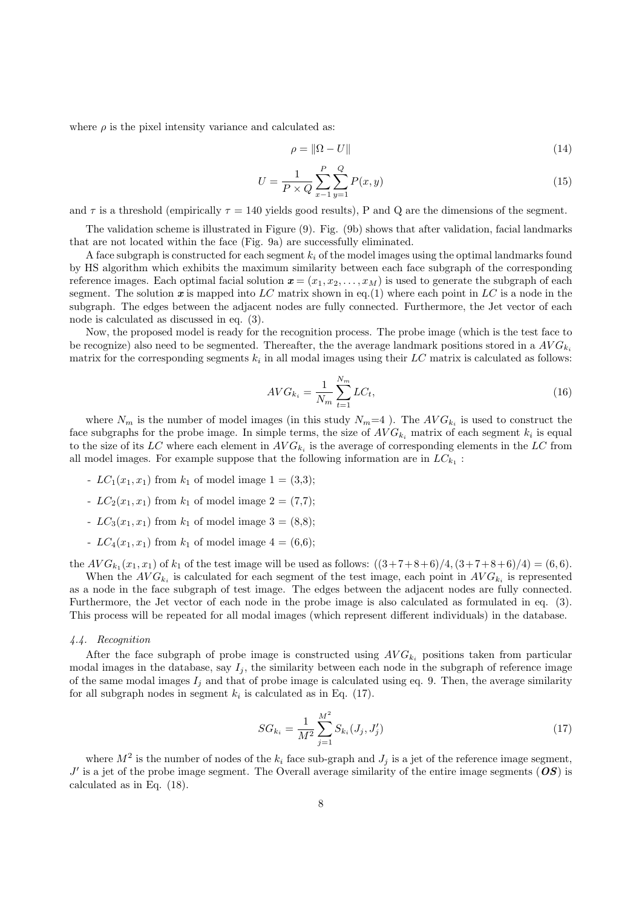where  $\rho$  is the pixel intensity variance and calculated as:

$$
\rho = \|\Omega - U\| \tag{14}
$$

$$
U = \frac{1}{P \times Q} \sum_{x=1}^{P} \sum_{y=1}^{Q} P(x, y)
$$
\n(15)

and  $\tau$  is a threshold (empirically  $\tau = 140$  yields good results), P and Q are the dimensions of the segment.

The validation scheme is illustrated in Figure (9). Fig. (9b) shows that after validation, facial landmarks that are not located within the face (Fig. 9a) are successfully eliminated.

A face subgraph is constructed for each segment  $k_i$  of the model images using the optimal landmarks found by HS algorithm which exhibits the maximum similarity between each face subgraph of the corresponding reference images. Each optimal facial solution  $x = (x_1, x_2, \ldots, x_M)$  is used to generate the subgraph of each segment. The solution x is mapped into LC matrix shown in eq.(1) where each point in LC is a node in the subgraph. The edges between the adjacent nodes are fully connected. Furthermore, the Jet vector of each node is calculated as discussed in eq. (3).

Now, the proposed model is ready for the recognition process. The probe image (which is the test face to be recognize) also need to be segmented. Thereafter, the the average landmark positions stored in a  $AVG_k$ matrix for the corresponding segments  $k_i$  in all modal images using their  $LC$  matrix is calculated as follows:

$$
AVG_{k_i} = \frac{1}{N_m} \sum_{t=1}^{N_m} LC_t,
$$
\n(16)

where  $N_m$  is the number of model images (in this study  $N_m=4$ ). The  $AVG_{k_i}$  is used to construct the face subgraphs for the probe image. In simple terms, the size of  $AVG_{k_i}$  matrix of each segment  $k_i$  is equal to the size of its LC where each element in  $AVG_{k_i}$  is the average of corresponding elements in the LC from all model images. For example suppose that the following information are in  $LC_{k_1}$ :

- $LC_1(x_1, x_1)$  from  $k_1$  of model image  $1 = (3,3);$
- $LC_2(x_1, x_1)$  from  $k_1$  of model image  $2 = (7,7);$
- $LC_3(x_1, x_1)$  from  $k_1$  of model image  $3 = (8,8);$
- $LC_4(x_1, x_1)$  from  $k_1$  of model image  $4 = (6,6)$ ;

the  $AVG_{k_1}(x_1, x_1)$  of  $k_1$  of the test image will be used as follows:  $((3+7+8+6)/4, (3+7+8+6)/4) = (6, 6)$ .

When the  $AVG_{k_i}$  is calculated for each segment of the test image, each point in  $AVG_{k_i}$  is represented as a node in the face subgraph of test image. The edges between the adjacent nodes are fully connected. Furthermore, the Jet vector of each node in the probe image is also calculated as formulated in eq. (3). This process will be repeated for all modal images (which represent different individuals) in the database.

#### 4.4. Recognition

After the face subgraph of probe image is constructed using  $AVG_{k_i}$  positions taken from particular modal images in the database, say  $I_i$ , the similarity between each node in the subgraph of reference image of the same modal images  $I_j$  and that of probe image is calculated using eq. 9. Then, the average similarity for all subgraph nodes in segment  $k_i$  is calculated as in Eq. (17).

$$
SG_{k_i} = \frac{1}{M^2} \sum_{j=1}^{M^2} S_{k_i}(J_j, J'_j)
$$
\n(17)

where  $M^2$  is the number of nodes of the  $k_i$  face sub-graph and  $J_j$  is a jet of the reference image segment,  $J'$  is a jet of the probe image segment. The Overall average similarity of the entire image segments  $(\overline{OS})$  is calculated as in Eq. (18).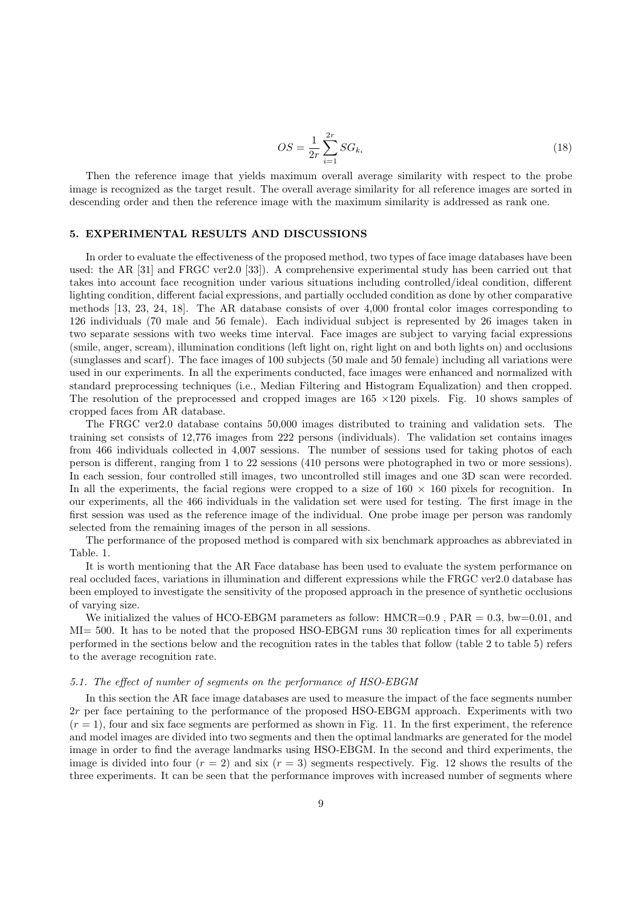$$
OS = \frac{1}{2r} \sum_{i=1}^{2r} SG_{k_i}
$$
\n(18)

Then the reference image that yields maximum overall average similarity with respect to the probe image is recognized as the target result. The overall average similarity for all reference images are sorted in descending order and then the reference image with the maximum similarity is addressed as rank one.

#### 5. EXPERIMENTAL RESULTS AND DISCUSSIONS

In order to evaluate the effectiveness of the proposed method, two types of face image databases have been used: the AR [31] and FRGC ver2.0 [33]). A comprehensive experimental study has been carried out that takes into account face recognition under various situations including controlled/ideal condition, different lighting condition, different facial expressions, and partially occluded condition as done by other comparative methods [13, 23, 24, 18]. The AR database consists of over 4,000 frontal color images corresponding to 126 individuals (70 male and 56 female). Each individual subject is represented by 26 images taken in two separate sessions with two weeks time interval. Face images are subject to varying facial expressions (smile, anger, scream), illumination conditions (left light on, right light on and both lights on) and occlusions (sunglasses and scarf). The face images of 100 subjects (50 male and 50 female) including all variations were used in our experiments. In all the experiments conducted, face images were enhanced and normalized with standard preprocessing techniques (i.e., Median Filtering and Histogram Equalization) and then cropped. The resolution of the preprocessed and cropped images are  $165 \times 120$  pixels. Fig. 10 shows samples of cropped faces from AR database.

The FRGC ver2.0 database contains 50,000 images distributed to training and validation sets. The training set consists of 12,776 images from 222 persons (individuals). The validation set contains images from 466 individuals collected in 4,007 sessions. The number of sessions used for taking photos of each person is different, ranging from 1 to 22 sessions (410 persons were photographed in two or more sessions). In each session, four controlled still images, two uncontrolled still images and one 3D scan were recorded. In all the experiments, the facial regions were cropped to a size of  $160 \times 160$  pixels for recognition. In our experiments, all the 466 individuals in the validation set were used for testing. The first image in the first session was used as the reference image of the individual. One probe image per person was randomly selected from the remaining images of the person in all sessions.

The performance of the proposed method is compared with six benchmark approaches as abbreviated in Table. 1.

It is worth mentioning that the AR Face database has been used to evaluate the system performance on real occluded faces, variations in illumination and different expressions while the FRGC ver2.0 database has been employed to investigate the sensitivity of the proposed approach in the presence of synthetic occlusions of varying size.

We initialized the values of HCO-EBGM parameters as follow:  $HMCR=0.9$ ,  $PAR = 0.3$ , bw=0.01, and MI= 500. It has to be noted that the proposed HSO-EBGM runs 30 replication times for all experiments performed in the sections below and the recognition rates in the tables that follow (table 2 to table 5) refers to the average recognition rate.

#### 5.1. The effect of number of segments on the performance of HSO-EBGM

In this section the AR face image databases are used to measure the impact of the face segments number 2r per face pertaining to the performance of the proposed HSO-EBGM approach. Experiments with two  $(r = 1)$ , four and six face segments are performed as shown in Fig. 11. In the first experiment, the reference and model images are divided into two segments and then the optimal landmarks are generated for the model image in order to find the average landmarks using HSO-EBGM. In the second and third experiments, the image is divided into four  $(r = 2)$  and six  $(r = 3)$  segments respectively. Fig. 12 shows the results of the three experiments. It can be seen that the performance improves with increased number of segments where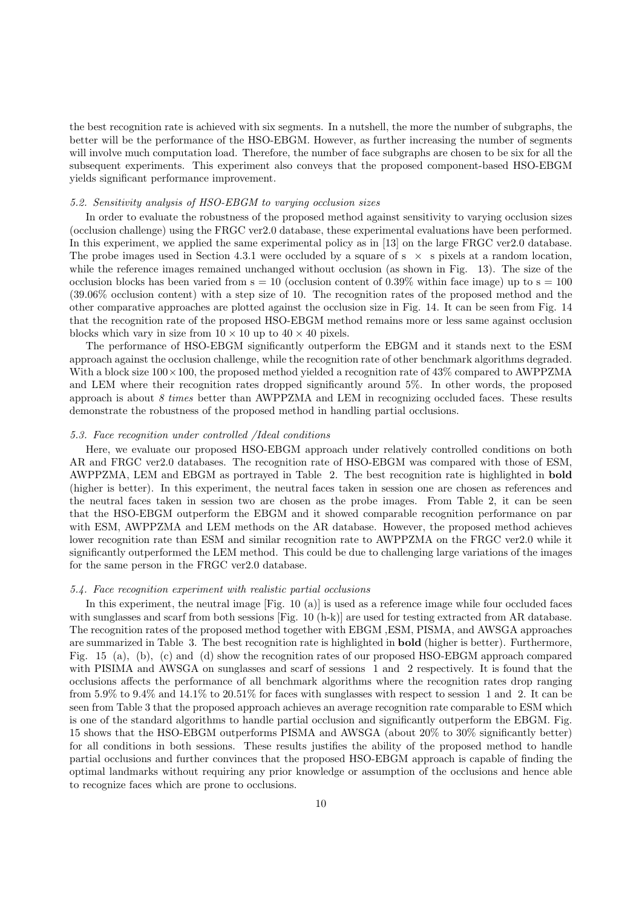the best recognition rate is achieved with six segments. In a nutshell, the more the number of subgraphs, the better will be the performance of the HSO-EBGM. However, as further increasing the number of segments will involve much computation load. Therefore, the number of face subgraphs are chosen to be six for all the subsequent experiments. This experiment also conveys that the proposed component-based HSO-EBGM yields significant performance improvement.

#### 5.2. Sensitivity analysis of HSO-EBGM to varying occlusion sizes

In order to evaluate the robustness of the proposed method against sensitivity to varying occlusion sizes (occlusion challenge) using the FRGC ver2.0 database, these experimental evaluations have been performed. In this experiment, we applied the same experimental policy as in [13] on the large FRGC ver2.0 database. The probe images used in Section 4.3.1 were occluded by a square of  $s \times s$  pixels at a random location, while the reference images remained unchanged without occlusion (as shown in Fig. 13). The size of the occlusion blocks has been varied from  $s = 10$  (occlusion content of 0.39% within face image) up to  $s = 100$ (39.06% occlusion content) with a step size of 10. The recognition rates of the proposed method and the other comparative approaches are plotted against the occlusion size in Fig. 14. It can be seen from Fig. 14 that the recognition rate of the proposed HSO-EBGM method remains more or less same against occlusion blocks which vary in size from  $10 \times 10$  up to  $40 \times 40$  pixels.

The performance of HSO-EBGM significantly outperform the EBGM and it stands next to the ESM approach against the occlusion challenge, while the recognition rate of other benchmark algorithms degraded. With a block size  $100 \times 100$ , the proposed method yielded a recognition rate of 43% compared to AWPPZMA and LEM where their recognition rates dropped significantly around 5%. In other words, the proposed approach is about  $8$  times better than AWPPZMA and LEM in recognizing occluded faces. These results demonstrate the robustness of the proposed method in handling partial occlusions.

#### 5.3. Face recognition under controlled /Ideal conditions

Here, we evaluate our proposed HSO-EBGM approach under relatively controlled conditions on both AR and FRGC ver2.0 databases. The recognition rate of HSO-EBGM was compared with those of ESM, AWPPZMA, LEM and EBGM as portrayed in Table 2. The best recognition rate is highlighted in bold (higher is better). In this experiment, the neutral faces taken in session one are chosen as references and the neutral faces taken in session two are chosen as the probe images. From Table 2, it can be seen that the HSO-EBGM outperform the EBGM and it showed comparable recognition performance on par with ESM, AWPPZMA and LEM methods on the AR database. However, the proposed method achieves lower recognition rate than ESM and similar recognition rate to AWPPZMA on the FRGC ver2.0 while it significantly outperformed the LEM method. This could be due to challenging large variations of the images for the same person in the FRGC ver2.0 database.

#### 5.4. Face recognition experiment with realistic partial occlusions

In this experiment, the neutral image  $[Fig. 10 (a)]$  is used as a reference image while four occluded faces with sunglasses and scarf from both sessions [Fig. 10 (h-k)] are used for testing extracted from AR database. The recognition rates of the proposed method together with EBGM ,ESM, PISMA, and AWSGA approaches are summarized in Table 3. The best recognition rate is highlighted in bold (higher is better). Furthermore, Fig. 15 (a), (b), (c) and (d) show the recognition rates of our proposed HSO-EBGM approach compared with PISIMA and AWSGA on sunglasses and scarf of sessions 1 and 2 respectively. It is found that the occlusions affects the performance of all benchmark algorithms where the recognition rates drop ranging from 5.9% to 9.4% and 14.1% to 20.51% for faces with sunglasses with respect to session 1 and 2. It can be seen from Table 3 that the proposed approach achieves an average recognition rate comparable to ESM which is one of the standard algorithms to handle partial occlusion and significantly outperform the EBGM. Fig. 15 shows that the HSO-EBGM outperforms PISMA and AWSGA (about 20% to 30% significantly better) for all conditions in both sessions. These results justifies the ability of the proposed method to handle partial occlusions and further convinces that the proposed HSO-EBGM approach is capable of finding the optimal landmarks without requiring any prior knowledge or assumption of the occlusions and hence able to recognize faces which are prone to occlusions.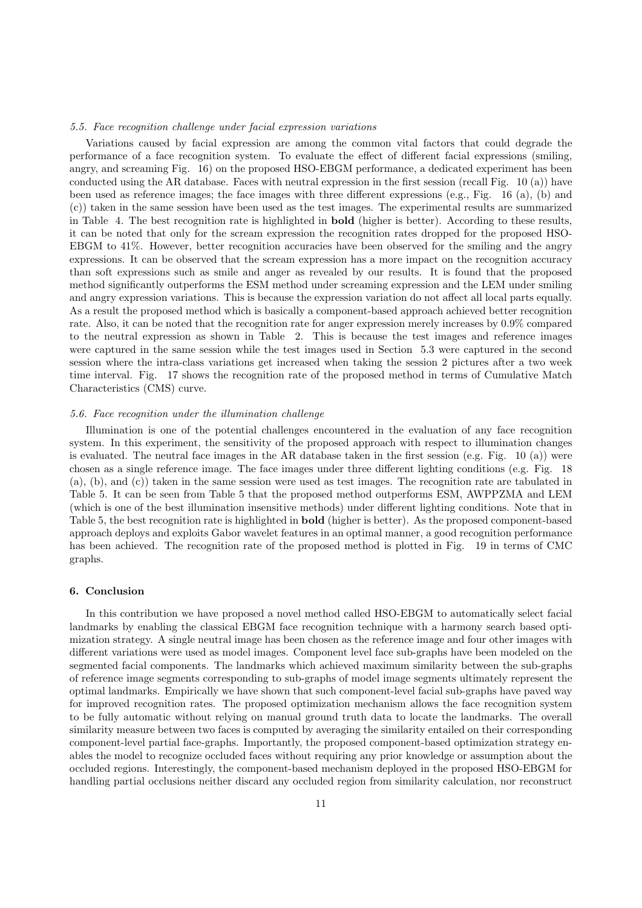#### 5.5. Face recognition challenge under facial expression variations

Variations caused by facial expression are among the common vital factors that could degrade the performance of a face recognition system. To evaluate the effect of different facial expressions (smiling, angry, and screaming Fig. 16) on the proposed HSO-EBGM performance, a dedicated experiment has been conducted using the AR database. Faces with neutral expression in the first session (recall Fig. 10 (a)) have been used as reference images; the face images with three different expressions (e.g., Fig. 16 (a), (b) and (c)) taken in the same session have been used as the test images. The experimental results are summarized in Table 4. The best recognition rate is highlighted in bold (higher is better). According to these results, it can be noted that only for the scream expression the recognition rates dropped for the proposed HSO-EBGM to 41%. However, better recognition accuracies have been observed for the smiling and the angry expressions. It can be observed that the scream expression has a more impact on the recognition accuracy than soft expressions such as smile and anger as revealed by our results. It is found that the proposed method significantly outperforms the ESM method under screaming expression and the LEM under smiling and angry expression variations. This is because the expression variation do not affect all local parts equally. As a result the proposed method which is basically a component-based approach achieved better recognition rate. Also, it can be noted that the recognition rate for anger expression merely increases by 0.9% compared to the neutral expression as shown in Table 2. This is because the test images and reference images were captured in the same session while the test images used in Section 5.3 were captured in the second session where the intra-class variations get increased when taking the session 2 pictures after a two week time interval. Fig. 17 shows the recognition rate of the proposed method in terms of Cumulative Match Characteristics (CMS) curve.

#### 5.6. Face recognition under the illumination challenge

Illumination is one of the potential challenges encountered in the evaluation of any face recognition system. In this experiment, the sensitivity of the proposed approach with respect to illumination changes is evaluated. The neutral face images in the AR database taken in the first session (e.g. Fig. 10 (a)) were chosen as a single reference image. The face images under three different lighting conditions (e.g. Fig. 18 (a), (b), and (c)) taken in the same session were used as test images. The recognition rate are tabulated in Table 5. It can be seen from Table 5 that the proposed method outperforms ESM, AWPPZMA and LEM (which is one of the best illumination insensitive methods) under different lighting conditions. Note that in Table 5, the best recognition rate is highlighted in bold (higher is better). As the proposed component-based approach deploys and exploits Gabor wavelet features in an optimal manner, a good recognition performance has been achieved. The recognition rate of the proposed method is plotted in Fig. 19 in terms of CMC graphs.

#### 6. Conclusion

In this contribution we have proposed a novel method called HSO-EBGM to automatically select facial landmarks by enabling the classical EBGM face recognition technique with a harmony search based optimization strategy. A single neutral image has been chosen as the reference image and four other images with different variations were used as model images. Component level face sub-graphs have been modeled on the segmented facial components. The landmarks which achieved maximum similarity between the sub-graphs of reference image segments corresponding to sub-graphs of model image segments ultimately represent the optimal landmarks. Empirically we have shown that such component-level facial sub-graphs have paved way for improved recognition rates. The proposed optimization mechanism allows the face recognition system to be fully automatic without relying on manual ground truth data to locate the landmarks. The overall similarity measure between two faces is computed by averaging the similarity entailed on their corresponding component-level partial face-graphs. Importantly, the proposed component-based optimization strategy enables the model to recognize occluded faces without requiring any prior knowledge or assumption about the occluded regions. Interestingly, the component-based mechanism deployed in the proposed HSO-EBGM for handling partial occlusions neither discard any occluded region from similarity calculation, nor reconstruct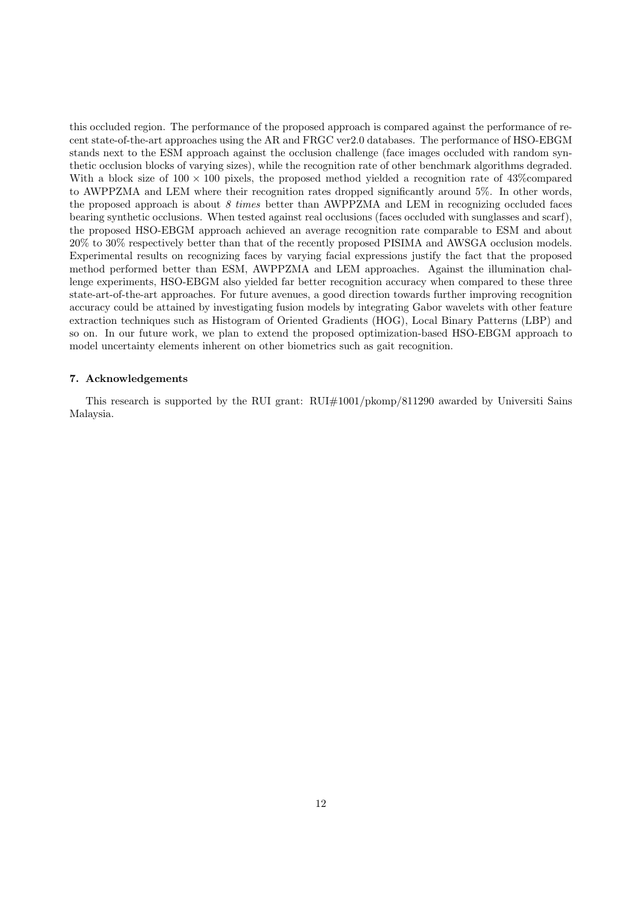this occluded region. The performance of the proposed approach is compared against the performance of recent state-of-the-art approaches using the AR and FRGC ver2.0 databases. The performance of HSO-EBGM stands next to the ESM approach against the occlusion challenge (face images occluded with random synthetic occlusion blocks of varying sizes), while the recognition rate of other benchmark algorithms degraded. With a block size of  $100 \times 100$  pixels, the proposed method yielded a recognition rate of 43\% compared to AWPPZMA and LEM where their recognition rates dropped significantly around 5%. In other words, the proposed approach is about  $8 \times 10^8$  times better than AWPPZMA and LEM in recognizing occluded faces bearing synthetic occlusions. When tested against real occlusions (faces occluded with sunglasses and scarf), the proposed HSO-EBGM approach achieved an average recognition rate comparable to ESM and about 20% to 30% respectively better than that of the recently proposed PISIMA and AWSGA occlusion models. Experimental results on recognizing faces by varying facial expressions justify the fact that the proposed method performed better than ESM, AWPPZMA and LEM approaches. Against the illumination challenge experiments, HSO-EBGM also yielded far better recognition accuracy when compared to these three state-art-of-the-art approaches. For future avenues, a good direction towards further improving recognition accuracy could be attained by investigating fusion models by integrating Gabor wavelets with other feature extraction techniques such as Histogram of Oriented Gradients (HOG), Local Binary Patterns (LBP) and so on. In our future work, we plan to extend the proposed optimization-based HSO-EBGM approach to model uncertainty elements inherent on other biometrics such as gait recognition.

#### 7. Acknowledgements

This research is supported by the RUI grant: RUI#1001/pkomp/811290 awarded by Universiti Sains Malaysia.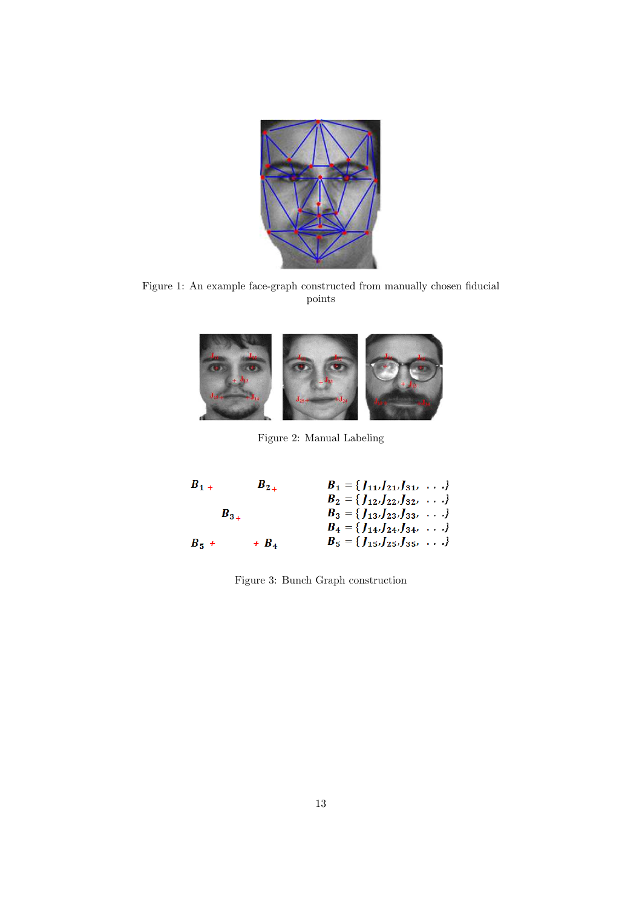

Figure 1: An example face-graph constructed from manually chosen fiducial points



Figure 2: Manual Labeling

| $B_{1+}$ | $B_{2+}$ | $B_1 = \{J_{11}, J_{21}, J_{31}, \ldots \}$ |  |
|----------|----------|---------------------------------------------|--|
|          |          | $B_2 = \{J_{12}, J_{22}, J_{32}, \ldots \}$ |  |
| $B_{3+}$ |          | $B_3 = \{J_{13}, J_{23}, J_{33}, \ldots \}$ |  |
|          |          | $B_4 = \{J_{14}, J_{24}, J_{34}, \ldots \}$ |  |
| $B = +$  | $+ B_4$  | $B_5 = \{J_{15}, J_{25}, J_{35}, \ldots \}$ |  |

Figure 3: Bunch Graph construction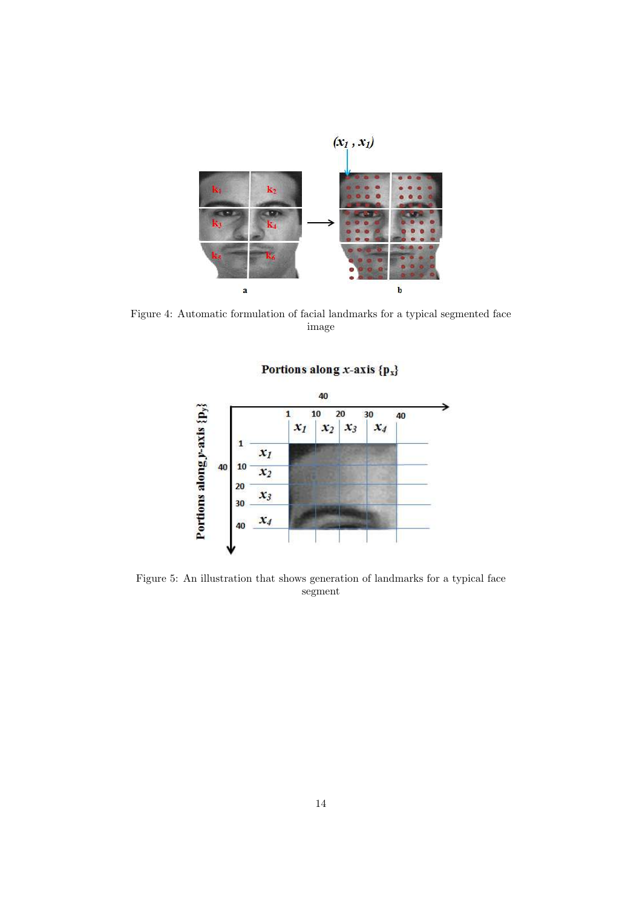

Figure 4: Automatic formulation of facial landmarks for a typical segmented face image



Figure 5: An illustration that shows generation of landmarks for a typical face segment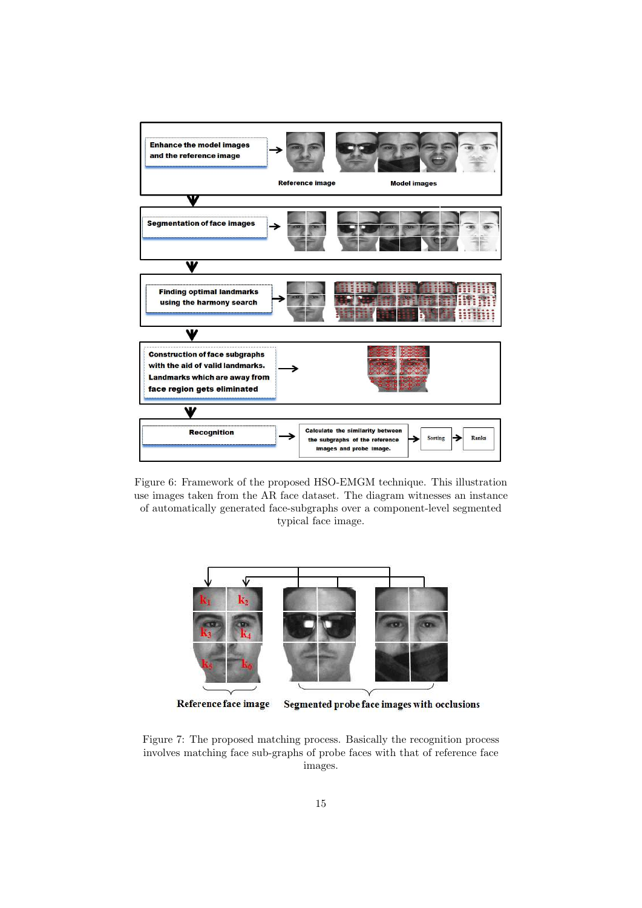

Figure 6: Framework of the proposed HSO-EMGM technique. This illustration use images taken from the AR face dataset. The diagram witnesses an instance of automatically generated face-subgraphs over a component-level segmented typical face image.



Figure 7: The proposed matching process. Basically the recognition process involves matching face sub-graphs of probe faces with that of reference face images.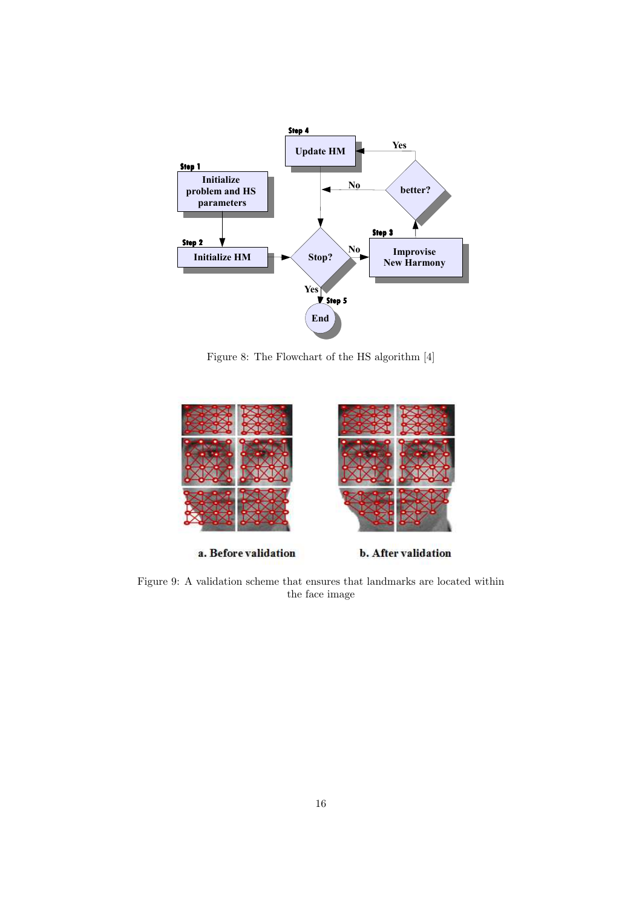

Figure 8: The Flowchart of the HS algorithm [4]



Figure 9: A validation scheme that ensures that landmarks are located within the face image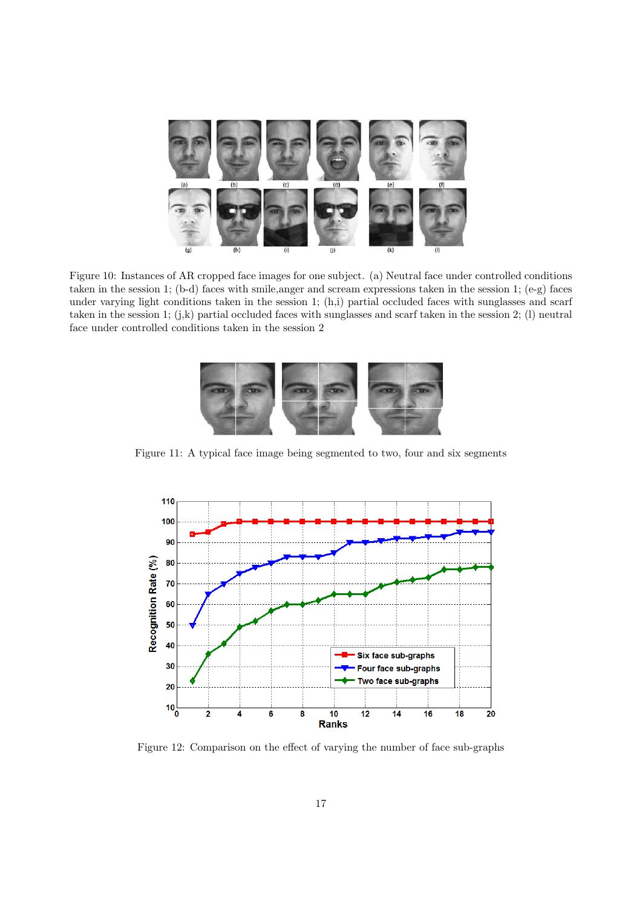

Figure 10: Instances of AR cropped face images for one subject. (a) Neutral face under controlled conditions taken in the session 1; (b-d) faces with smile,anger and scream expressions taken in the session 1; (e-g) faces under varying light conditions taken in the session 1; (h,i) partial occluded faces with sunglasses and scarf taken in the session 1; (j,k) partial occluded faces with sunglasses and scarf taken in the session 2; (l) neutral face under controlled conditions taken in the session 2



Figure 11: A typical face image being segmented to two, four and six segments



Figure 12: Comparison on the effect of varying the number of face sub-graphs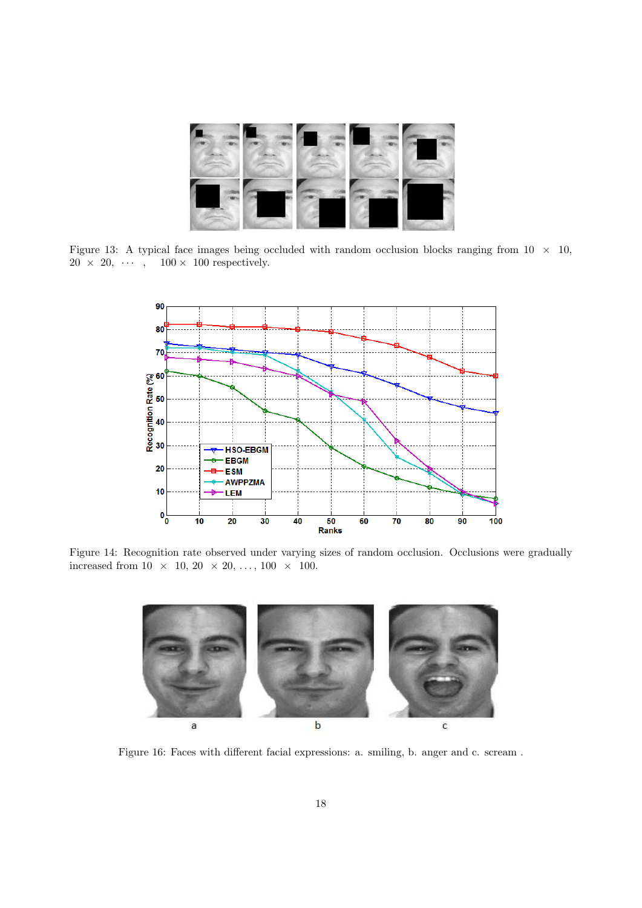

Figure 13: A typical face images being occluded with random occlusion blocks ranging from  $10 \times 10$ ,  $20 \times 20, \cdots$ ,  $100 \times 100$  respectively.



Figure 14: Recognition rate observed under varying sizes of random occlusion. Occlusions were gradually increased from 10  $\times$  10, 20  $\times$  20, ..., 100  $\times$  100.



Figure 16: Faces with different facial expressions: a. smiling, b. anger and c. scream .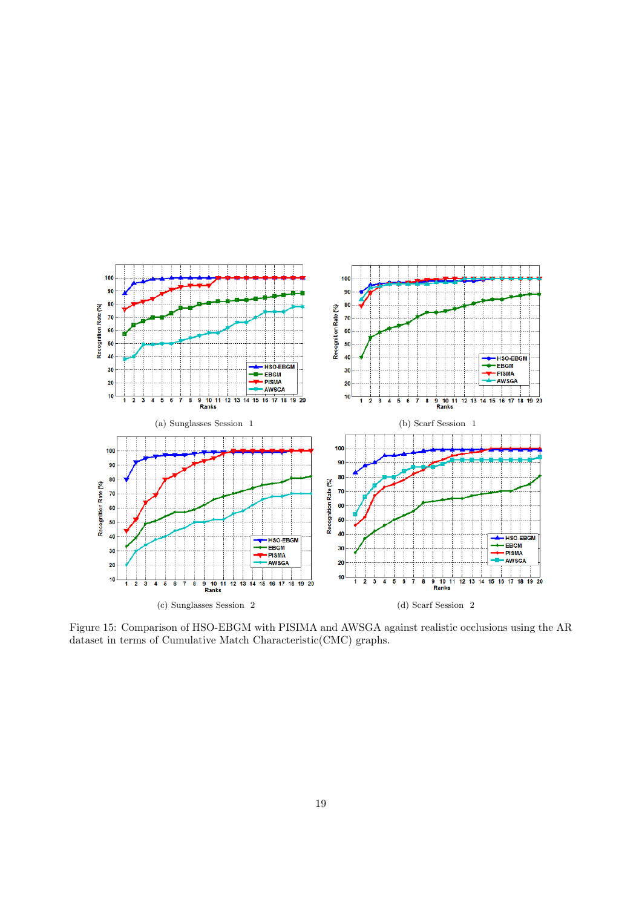

Figure 15: Comparison of HSO-EBGM with PISIMA and AWSGA against realistic occlusions using the AR dataset in terms of Cumulative Match Characteristic(CMC) graphs.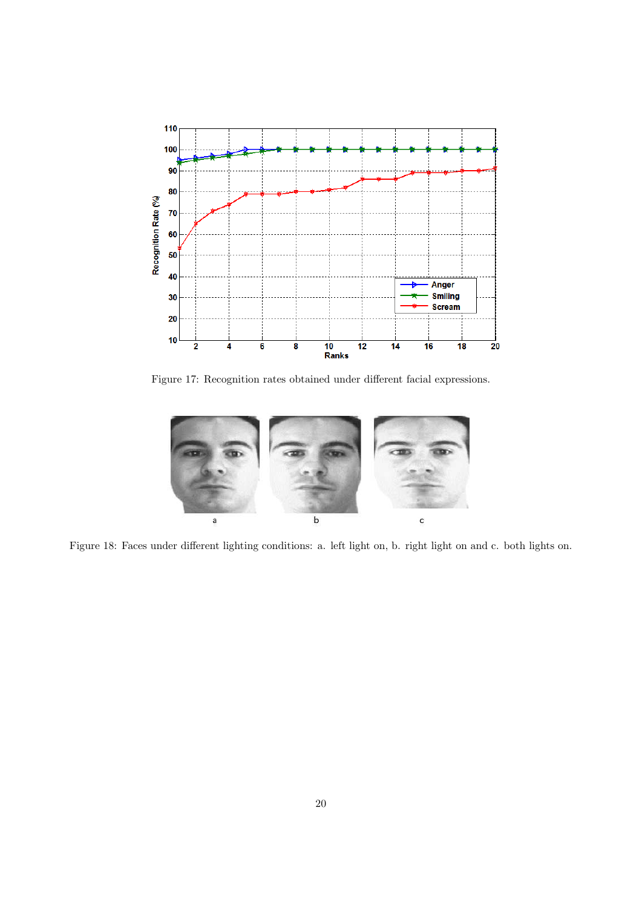

Figure 17: Recognition rates obtained under different facial expressions.



Figure 18: Faces under different lighting conditions: a. left light on, b. right light on and c. both lights on.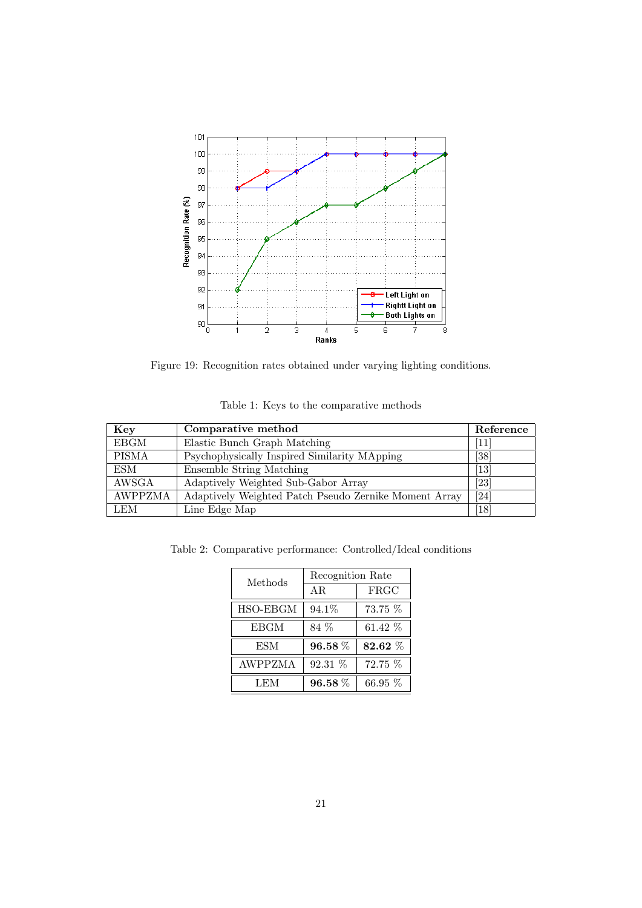

Figure 19: Recognition rates obtained under varying lighting conditions.

| Key            | Comparative method                                    | Reference                     |
|----------------|-------------------------------------------------------|-------------------------------|
| <b>EBGM</b>    | Elastic Bunch Graph Matching                          | 11                            |
| <b>PISMA</b>   | Psychophysically Inspired Similarity MApping          | [38]                          |
| ESM            | Ensemble String Matching                              | $\left\lceil 13 \right\rceil$ |
| AWSGA          | Adaptively Weighted Sub-Gabor Array                   | $\left[ 23\right]$            |
| <b>AWPPZMA</b> | Adaptively Weighted Patch Pseudo Zernike Moment Array | [24]                          |
| LEM            | Line Edge Map                                         | $\left[18\right]$             |

Table 1: Keys to the comparative methods

Table 2: Comparative performance: Controlled/Ideal conditions

| Methods        | Recognition Rate |         |  |  |
|----------------|------------------|---------|--|--|
|                | AR               | FRGC    |  |  |
| HSO-EBGM       | 94.1%            | 73.75 % |  |  |
| <b>EBGM</b>    | 84 %             | 61.42 % |  |  |
| <b>ESM</b>     | 96.58%           | 82.62 % |  |  |
| <b>AWPPZMA</b> | 92.31 %          | 72.75 % |  |  |
| LEM            | $96.58\,\%$      | 66.95 % |  |  |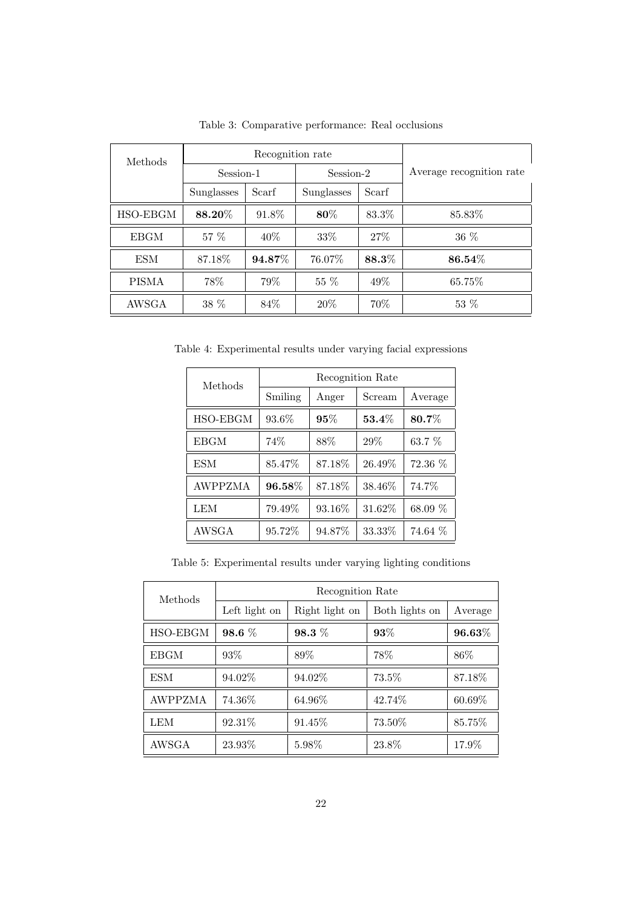| Methods      | Recognition rate |        |            |               |                          |
|--------------|------------------|--------|------------|---------------|--------------------------|
|              | Session-1        |        | Session-2  |               | Average recognition rate |
|              | Sunglasses       | Scarf  | Sunglasses | Scarf         |                          |
| HSO-EBGM     | 88.20%           | 91.8%  | $80\%$     | 83.3%         | 85.83\%                  |
| <b>EBGM</b>  | 57 %             | $40\%$ | 33\%       | 27%           | 36 %                     |
| <b>ESM</b>   | 87.18\%          | 94.87% | 76.07%     | $\bm{88.3\%}$ | $\mathbf{86.54}\%$       |
| <b>PISMA</b> | 78%              | 79%    | 55 %       | 49\%          | 65.75%                   |
| AWSGA        | 38 %             | 84\%   | 20\%       | 70%           | 53 %                     |

Table 3: Comparative performance: Real occlusions

Table 4: Experimental results under varying facial expressions

| Methods        | Recognition Rate |        |          |         |
|----------------|------------------|--------|----------|---------|
|                | Smiling          | Anger  | Scream   | Average |
| HSO-EBGM       | 93.6%            | 95%    | $53.4\%$ | 80.7%   |
| <b>EBGM</b>    | 74%              | 88%    | 29\%     | 63.7 %  |
| <b>ESM</b>     | 85.47%           | 87.18% | 26.49%   | 72.36 % |
| <b>AWPPZMA</b> | $96.58\%$        | 87.18% | 38.46%   | 74.7%   |
| LEM            | $79.49\%$        | 93.16% | 31.62%   | 68.09 % |
| AWSGA          | 95.72%           | 94.87% | 33.33%   | 74.64 % |

Table 5: Experimental results under varying lighting conditions

| Methods        | Recognition Rate |                |                |           |
|----------------|------------------|----------------|----------------|-----------|
|                | Left light on    | Right light on | Both lights on | Average   |
| HSO-EBGM       | 98.6 $\%$        | $98.3\%$       | $93\%$         | $96.63\%$ |
| <b>EBGM</b>    | 93%              | 89%            | 78\%           | 86\%      |
| ESM            | 94.02%           | 94.02%         | 73.5%          | 87.18%    |
| <b>AWPPZMA</b> | 74.36%           | 64.96%         | 42.74%         | $60.69\%$ |
| LEM            | 92.31%           | 91.45%         | 73.50%         | 85.75%    |
| AWSGA          | 23.93%           | 5.98%          | 23.8%          | 17.9%     |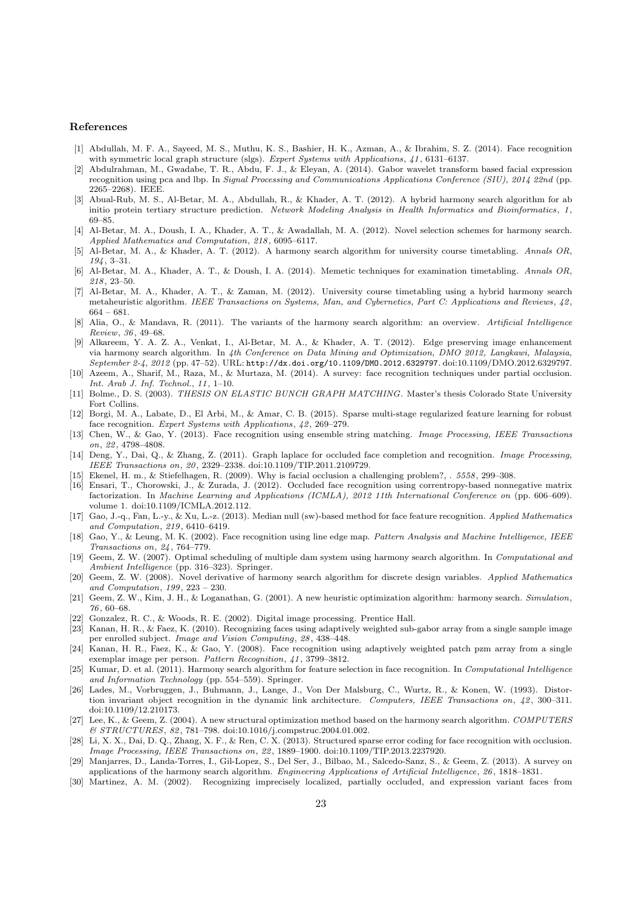#### References

- [1] Abdullah, M. F. A., Sayeed, M. S., Muthu, K. S., Bashier, H. K., Azman, A., & Ibrahim, S. Z. (2014). Face recognition with symmetric local graph structure (slgs). *Expert Systems with Applications*, *41*, 6131–6137.
- [2] Abdulrahman, M., Gwadabe, T. R., Abdu, F. J., & Eleyan, A. (2014). Gabor wavelet transform based facial expression recognition using pca and lbp. In *Signal Processing and Communications Applications Conference (SIU), 2014 22nd* (pp. 2265–2268). IEEE.
- [3] Abual-Rub, M. S., Al-Betar, M. A., Abdullah, R., & Khader, A. T. (2012). A hybrid harmony search algorithm for ab initio protein tertiary structure prediction. *Network Modeling Analysis in Health Informatics and Bioinformatics*, *1*, 69–85.
- [4] Al-Betar, M. A., Doush, I. A., Khader, A. T., & Awadallah, M. A. (2012). Novel selection schemes for harmony search. *Applied Mathematics and Computation*, *218*, 6095–6117.
- [5] Al-Betar, M. A., & Khader, A. T. (2012). A harmony search algorithm for university course timetabling. *Annals OR*, *194*, 3–31.
- [6] Al-Betar, M. A., Khader, A. T., & Doush, I. A. (2014). Memetic techniques for examination timetabling. *Annals OR*, *218*, 23–50.
- [7] Al-Betar, M. A., Khader, A. T., & Zaman, M. (2012). University course timetabling using a hybrid harmony search metaheuristic algorithm. *IEEE Transactions on Systems, Man, and Cybernetics, Part C: Applications and Reviews*, *42*, 664 – 681.
- [8] Alia, O., & Mandava, R. (2011). The variants of the harmony search algorithm: an overview. *Artificial Intelligence Review*, *36*, 49–68.
- [9] Alkareem, Y. A. Z. A., Venkat, I., Al-Betar, M. A., & Khader, A. T. (2012). Edge preserving image enhancement via harmony search algorithm. In *4th Conference on Data Mining and Optimization, DMO 2012, Langkawi, Malaysia, September 2-4, 2012* (pp. 47–52). URL: http://dx.doi.org/10.1109/DMO.2012.6329797. doi:10.1109/DMO.2012.6329797.
- [10] Azeem, A., Sharif, M., Raza, M., & Murtaza, M. (2014). A survey: face recognition techniques under partial occlusion. *Int. Arab J. Inf. Technol.*, *11*, 1–10.
- [11] Bolme., D. S. (2003). *THESIS ON ELASTIC BUNCH GRAPH MATCHING*. Master's thesis Colorado State University Fort Collins.
- [12] Borgi, M. A., Labate, D., El Arbi, M., & Amar, C. B. (2015). Sparse multi-stage regularized feature learning for robust face recognition. *Expert Systems with Applications*, *42*, 269–279.
- [13] Chen, W., & Gao, Y. (2013). Face recognition using ensemble string matching. *Image Processing, IEEE Transactions on*, *22*, 4798–4808.
- [14] Deng, Y., Dai, Q., & Zhang, Z. (2011). Graph laplace for occluded face completion and recognition. *Image Processing, IEEE Transactions on*, *20*, 2329–2338. doi:10.1109/TIP.2011.2109729.
- [15] Ekenel, H. m., & Stiefelhagen, R. (2009). Why is facial occlusion a challenging problem?, . *5558*, 299–308.
- [16] Ensari, T., Chorowski, J., & Zurada, J. (2012). Occluded face recognition using correntropy-based nonnegative matrix factorization. In *Machine Learning and Applications (ICMLA), 2012 11th International Conference on* (pp. 606–609). volume 1. doi:10.1109/ICMLA.2012.112.
- [17] Gao, J.-q., Fan, L.-y., & Xu, L.-z. (2013). Median null (sw)-based method for face feature recognition. *Applied Mathematics and Computation*, *219*, 6410–6419.
- [18] Gao, Y., & Leung, M. K. (2002). Face recognition using line edge map. *Pattern Analysis and Machine Intelligence, IEEE Transactions on*, *24*, 764–779.
- [19] Geem, Z. W. (2007). Optimal scheduling of multiple dam system using harmony search algorithm. In *Computational and Ambient Intelligence* (pp. 316–323). Springer.
- [20] Geem, Z. W. (2008). Novel derivative of harmony search algorithm for discrete design variables. *Applied Mathematics and Computation*, *199*, 223 – 230.
- [21] Geem, Z. W., Kim, J. H., & Loganathan, G. (2001). A new heuristic optimization algorithm: harmony search. *Simulation*, *76*, 60–68.
- [22] Gonzalez, R. C., & Woods, R. E. (2002). Digital image processing. Prentice Hall.
- [23] Kanan, H. R., & Faez, K. (2010). Recognizing faces using adaptively weighted sub-gabor array from a single sample image per enrolled subject. *Image and Vision Computing*, *28*, 438–448.
- [24] Kanan, H. R., Faez, K., & Gao, Y. (2008). Face recognition using adaptively weighted patch pzm array from a single exemplar image per person. *Pattern Recognition*, *41*, 3799–3812.
- [25] Kumar, D. et al. (2011). Harmony search algorithm for feature selection in face recognition. In *Computational Intelligence and Information Technology* (pp. 554–559). Springer.
- [26] Lades, M., Vorbruggen, J., Buhmann, J., Lange, J., Von Der Malsburg, C., Wurtz, R., & Konen, W. (1993). Distortion invariant object recognition in the dynamic link architecture. *Computers, IEEE Transactions on*, *42*, 300–311. doi:10.1109/12.210173.
- [27] Lee, K., & Geem, Z. (2004). A new structural optimization method based on the harmony search algorithm. *COMPUTERS & STRUCTURES*, *82*, 781–798. doi:10.1016/j.compstruc.2004.01.002.
- [28] Li, X. X., Dai, D. Q., Zhang, X. F., & Ren, C. X. (2013). Structured sparse error coding for face recognition with occlusion. *Image Processing, IEEE Transactions on*, *22*, 1889–1900. doi:10.1109/TIP.2013.2237920.
- [29] Manjarres, D., Landa-Torres, I., Gil-Lopez, S., Del Ser, J., Bilbao, M., Salcedo-Sanz, S., & Geem, Z. (2013). A survey on applications of the harmony search algorithm. *Engineering Applications of Artificial Intelligence*, *26*, 1818–1831.
- [30] Martinez, A. M. (2002). Recognizing imprecisely localized, partially occluded, and expression variant faces from